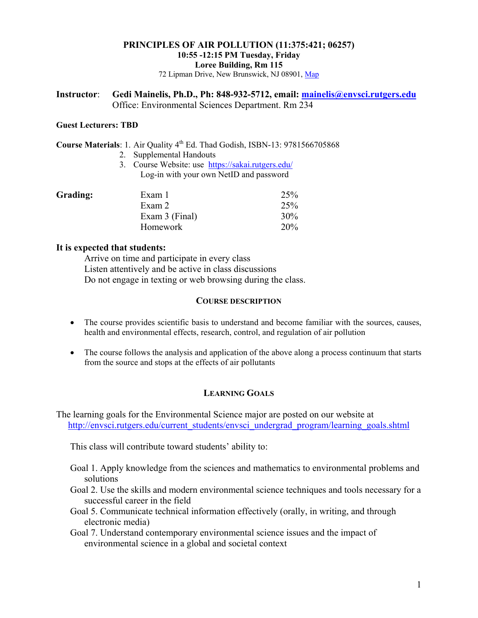# **PRINCIPLES OF AIR POLLUTION (11:375:421; 06257) 10:55 -12:15 PM Tuesday, Friday Loree Building, Rm 115**

72 Lipman Drive, New Brunswick, NJ 08901, Map

#### **Instructor**: **Gedi Mainelis, Ph.D., Ph: 848-932-5712, email: mainelis@envsci.rutgers.edu**  Office: Environmental Sciences Department. Rm 234

#### **Guest Lecturers: TBD**

**Course Materials**: 1. Air Quality 4<sup>th</sup> Ed. Thad Godish, ISBN-13: 9781566705868

- 2. Supplemental Handouts
- 3. Course Website: use https://sakai.rutgers.edu/ Log-in with your own NetID and password

| Grading: | Exam 1         | 25%    |
|----------|----------------|--------|
|          | Exam 2         | 25%    |
|          | Exam 3 (Final) | $30\%$ |
|          | Homework       | 20%    |

## **It is expected that students:**

Arrive on time and participate in every class Listen attentively and be active in class discussions Do not engage in texting or web browsing during the class.

#### **COURSE DESCRIPTION**

- The course provides scientific basis to understand and become familiar with the sources, causes, health and environmental effects, research, control, and regulation of air pollution
- The course follows the analysis and application of the above along a process continuum that starts from the source and stops at the effects of air pollutants

## **LEARNING GOALS**

The learning goals for the Environmental Science major are posted on our website at http://envsci.rutgers.edu/current\_students/envsci\_undergrad\_program/learning\_goals.shtml

This class will contribute toward students' ability to:

- Goal 1. Apply knowledge from the sciences and mathematics to environmental problems and solutions
- Goal 2. Use the skills and modern environmental science techniques and tools necessary for a successful career in the field
- Goal 5. Communicate technical information effectively (orally, in writing, and through electronic media)
- Goal 7. Understand contemporary environmental science issues and the impact of environmental science in a global and societal context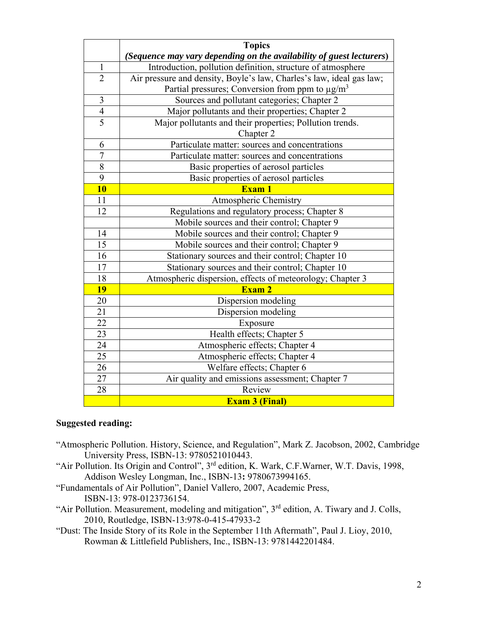|                | <b>Topics</b>                                                        |  |
|----------------|----------------------------------------------------------------------|--|
|                | (Sequence may vary depending on the availability of guest lecturers) |  |
| $\mathbf{1}$   | Introduction, pollution definition, structure of atmosphere          |  |
| $\overline{2}$ | Air pressure and density, Boyle's law, Charles's law, ideal gas law; |  |
|                | Partial pressures; Conversion from ppm to $\mu$ g/m <sup>3</sup>     |  |
| 3              | Sources and pollutant categories; Chapter 2                          |  |
| $\overline{4}$ | Major pollutants and their properties; Chapter 2                     |  |
| $\overline{5}$ | Major pollutants and their properties; Pollution trends.             |  |
|                | Chapter 2                                                            |  |
| 6              | Particulate matter: sources and concentrations                       |  |
| $\overline{7}$ | Particulate matter: sources and concentrations                       |  |
| 8              | Basic properties of aerosol particles                                |  |
| $\overline{9}$ | Basic properties of aerosol particles                                |  |
| <b>10</b>      | <b>Exam 1</b>                                                        |  |
| 11             | Atmospheric Chemistry                                                |  |
| 12             | Regulations and regulatory process; Chapter 8                        |  |
|                | Mobile sources and their control; Chapter 9                          |  |
| 14             | Mobile sources and their control; Chapter 9                          |  |
| 15             | Mobile sources and their control; Chapter 9                          |  |
| 16             | Stationary sources and their control; Chapter 10                     |  |
| 17             | Stationary sources and their control; Chapter 10                     |  |
| 18             | Atmospheric dispersion, effects of meteorology; Chapter 3            |  |
| <b>19</b>      | Exam 2                                                               |  |
| 20             | Dispersion modeling                                                  |  |
| 21             | Dispersion modeling                                                  |  |
| 22             | Exposure                                                             |  |
| 23             | Health effects; Chapter 5                                            |  |
| 24             | Atmospheric effects; Chapter 4                                       |  |
| 25             | Atmospheric effects; Chapter 4                                       |  |
| 26             | Welfare effects; Chapter 6                                           |  |
| 27             | Air quality and emissions assessment; Chapter 7                      |  |
| 28             | Review                                                               |  |
|                | <b>Exam 3 (Final)</b>                                                |  |

## **Suggested reading:**

- "Atmospheric Pollution. History, Science, and Regulation", Mark Z. Jacobson, 2002, Cambridge University Press, ISBN-13: 9780521010443.
- "Air Pollution. Its Origin and Control", 3rd edition, K. Wark, C.F.Warner, W.T. Davis, 1998, Addison Wesley Longman, Inc., ISBN-13**:** 9780673994165.
- "Fundamentals of Air Pollution", Daniel Vallero, 2007, Academic Press, ISBN-13: 978-0123736154.
- "Air Pollution. Measurement, modeling and mitigation", 3rd edition, A. Tiwary and J. Colls, 2010, Routledge, ISBN-13:978-0-415-47933-2
- "Dust: The Inside Story of its Role in the September 11th Aftermath", Paul J. Lioy, 2010, Rowman & Littlefield Publishers, Inc., ISBN-13: 9781442201484.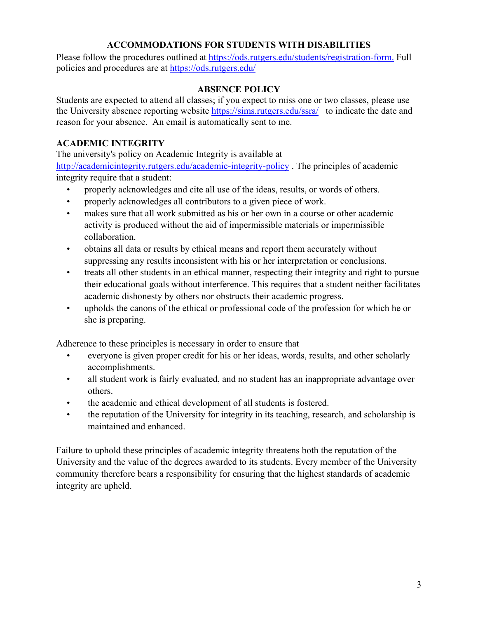# **ACCOMMODATIONS FOR STUDENTS WITH DISABILITIES**

Please follow the procedures outlined at https://ods.rutgers.edu/students/registration-form. Full policies and procedures are at https://ods.rutgers.edu/

## **ABSENCE POLICY**

Students are expected to attend all classes; if you expect to miss one or two classes, please use the University absence reporting website https://sims.rutgers.edu/ssra/ to indicate the date and reason for your absence. An email is automatically sent to me.

# **ACADEMIC INTEGRITY**

The university's policy on Academic Integrity is available at

http://academicintegrity.rutgers.edu/academic-integrity-policy . The principles of academic integrity require that a student:

- properly acknowledges and cite all use of the ideas, results, or words of others.
- properly acknowledges all contributors to a given piece of work.
- makes sure that all work submitted as his or her own in a course or other academic activity is produced without the aid of impermissible materials or impermissible collaboration.
- obtains all data or results by ethical means and report them accurately without suppressing any results inconsistent with his or her interpretation or conclusions.
- treats all other students in an ethical manner, respecting their integrity and right to pursue their educational goals without interference. This requires that a student neither facilitates academic dishonesty by others nor obstructs their academic progress.
- upholds the canons of the ethical or professional code of the profession for which he or she is preparing.

Adherence to these principles is necessary in order to ensure that

- everyone is given proper credit for his or her ideas, words, results, and other scholarly accomplishments.
- all student work is fairly evaluated, and no student has an inappropriate advantage over others.
- the academic and ethical development of all students is fostered.
- the reputation of the University for integrity in its teaching, research, and scholarship is maintained and enhanced.

Failure to uphold these principles of academic integrity threatens both the reputation of the University and the value of the degrees awarded to its students. Every member of the University community therefore bears a responsibility for ensuring that the highest standards of academic integrity are upheld.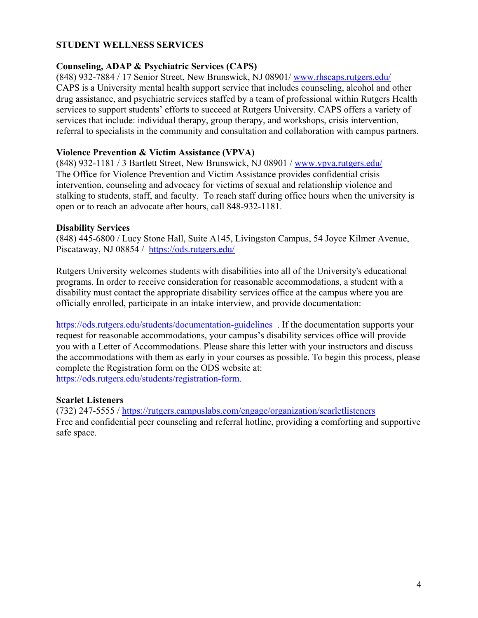## **STUDENT WELLNESS SERVICES**

## **Counseling, ADAP & Psychiatric Services (CAPS)**

(848) 932-7884 / 17 Senior Street, New Brunswick, NJ 08901/ www.rhscaps.rutgers.edu/ CAPS is a University mental health support service that includes counseling, alcohol and other drug assistance, and psychiatric services staffed by a team of professional within Rutgers Health services to support students' efforts to succeed at Rutgers University. CAPS offers a variety of services that include: individual therapy, group therapy, and workshops, crisis intervention, referral to specialists in the community and consultation and collaboration with campus partners.

## **Violence Prevention & Victim Assistance (VPVA)**

(848) 932-1181 / 3 Bartlett Street, New Brunswick, NJ 08901 / www.vpva.rutgers.edu/ The Office for Violence Prevention and Victim Assistance provides confidential crisis intervention, counseling and advocacy for victims of sexual and relationship violence and stalking to students, staff, and faculty. To reach staff during office hours when the university is open or to reach an advocate after hours, call 848-932-1181.

## **Disability Services**

(848) 445-6800 / Lucy Stone Hall, Suite A145, Livingston Campus, 54 Joyce Kilmer Avenue, Piscataway, NJ 08854 / https://ods.rutgers.edu/

Rutgers University welcomes students with disabilities into all of the University's educational programs. In order to receive consideration for reasonable accommodations, a student with a disability must contact the appropriate disability services office at the campus where you are officially enrolled, participate in an intake interview, and provide documentation:

https://ods.rutgers.edu/students/documentation-guidelines . If the documentation supports your request for reasonable accommodations, your campus's disability services office will provide you with a Letter of Accommodations. Please share this letter with your instructors and discuss the accommodations with them as early in your courses as possible. To begin this process, please complete the Registration form on the ODS website at: https://ods.rutgers.edu/students/registration-form.

## **Scarlet Listeners**

(732) 247-5555 / https://rutgers.campuslabs.com/engage/organization/scarletlisteners Free and confidential peer counseling and referral hotline, providing a comforting and supportive safe space.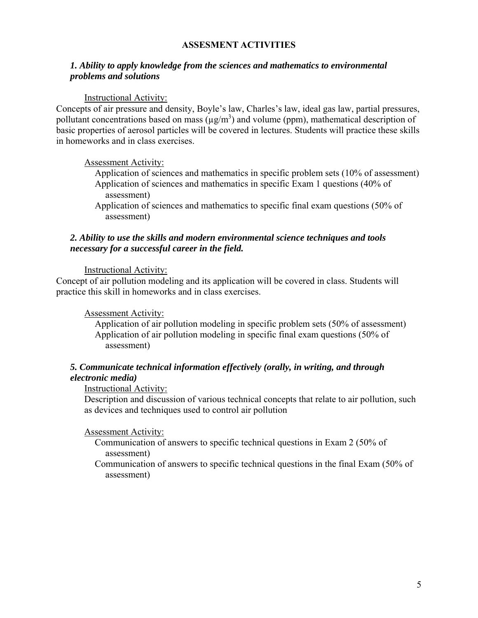## **ASSESMENT ACTIVITIES**

## *1. Ability to apply knowledge from the sciences and mathematics to environmental problems and solutions*

#### Instructional Activity:

Concepts of air pressure and density, Boyle's law, Charles's law, ideal gas law, partial pressures, pollutant concentrations based on mass ( $\mu$ g/m<sup>3</sup>) and volume (ppm), mathematical description of basic properties of aerosol particles will be covered in lectures. Students will practice these skills in homeworks and in class exercises.

#### Assessment Activity:

Application of sciences and mathematics in specific problem sets (10% of assessment) Application of sciences and mathematics in specific Exam 1 questions (40% of assessment)

Application of sciences and mathematics to specific final exam questions (50% of assessment)

#### *2. Ability to use the skills and modern environmental science techniques and tools necessary for a successful career in the field.*

#### Instructional Activity:

Concept of air pollution modeling and its application will be covered in class. Students will practice this skill in homeworks and in class exercises.

## Assessment Activity:

Application of air pollution modeling in specific problem sets (50% of assessment) Application of air pollution modeling in specific final exam questions (50% of assessment)

## *5. Communicate technical information effectively (orally, in writing, and through electronic media)*

#### Instructional Activity:

Description and discussion of various technical concepts that relate to air pollution, such as devices and techniques used to control air pollution

#### Assessment Activity:

- Communication of answers to specific technical questions in Exam 2 (50% of assessment)
- Communication of answers to specific technical questions in the final Exam (50% of assessment)